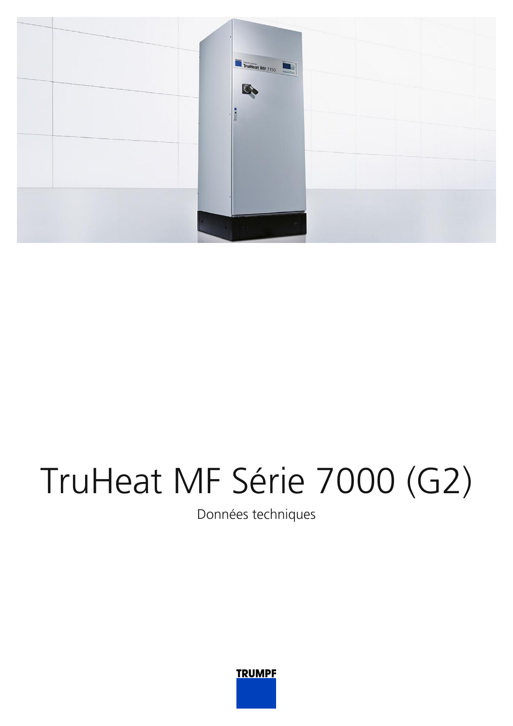

## TruHeat MF Série 7000 (G2)

Données techniques

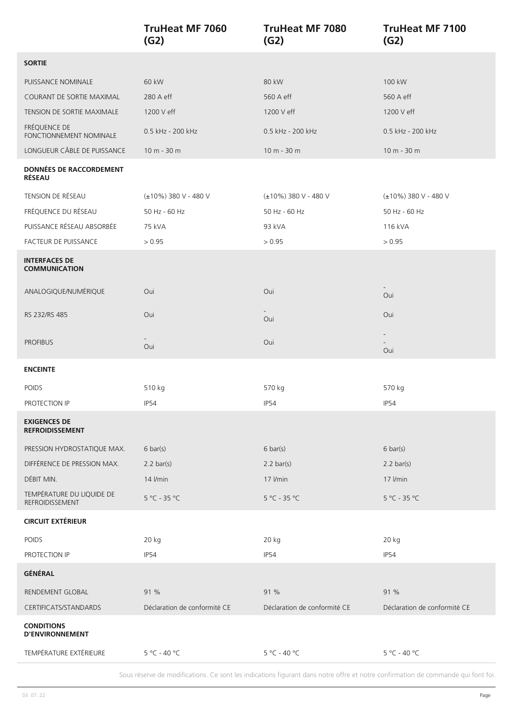|                                                 | <b>TruHeat MF 7060</b><br>(G2) | <b>TruHeat MF 7080</b><br>(G2) | <b>TruHeat MF 7100</b><br>(G2) |
|-------------------------------------------------|--------------------------------|--------------------------------|--------------------------------|
| <b>SORTIE</b>                                   |                                |                                |                                |
| PUISSANCE NOMINALE                              | 60 kW                          | 80 kW                          | 100 kW                         |
| COURANT DE SORTIE MAXIMAL                       | 280 A eff                      | 560 A eff                      | 560 A eff                      |
| TENSION DE SORTIE MAXIMALE                      | 1200 V eff                     | 1200 V eff                     | 1200 V eff                     |
| FRÉQUENCE DE<br>FONCTIONNEMENT NOMINALE         | 0.5 kHz - 200 kHz              | 0.5 kHz - 200 kHz              | 0.5 kHz - 200 kHz              |
| LONGUEUR CÂBLE DE PUISSANCE                     | $10 m - 30 m$                  | $10 m - 30 m$                  | 10 m - 30 m                    |
| <b>DONNÉES DE RACCORDEMENT</b><br><b>RÉSEAU</b> |                                |                                |                                |
| TENSION DE RÉSEAU                               | (±10%) 380 V - 480 V           | (±10%) 380 V - 480 V           | (±10%) 380 V - 480 V           |
| FRÉQUENCE DU RÉSEAU                             | 50 Hz - 60 Hz                  | 50 Hz - 60 Hz                  | 50 Hz - 60 Hz                  |
| PUISSANCE RÉSEAU ABSORBÉE                       | 75 kVA                         | 93 kVA                         | 116 kVA                        |
| FACTEUR DE PUISSANCE                            | > 0.95                         | > 0.95                         | > 0.95                         |
| <b>INTERFACES DE</b><br><b>COMMUNICATION</b>    |                                |                                |                                |
| ANALOGIQUE/NUMÉRIQUE                            | Oui                            | Oui                            | Oui                            |
| RS 232/RS 485                                   | Oui                            | $\sim$<br>Oui                  | Oui                            |
| <b>PROFIBUS</b>                                 | Oui                            | Oui                            | Oui                            |
| <b>ENCEINTE</b>                                 |                                |                                |                                |
| POIDS                                           | 510 kg                         | 570 kg                         | 570 kg                         |
| PROTECTION IP                                   | IP54                           | IP54                           | IP54                           |
| <b>EXIGENCES DE</b><br><b>REFROIDISSEMENT</b>   |                                |                                |                                |
| PRESSION HYDROSTATIQUE MAX.                     | $6 \text{ bar}(s)$             | $6 \text{ bar}(s)$             | $6 \text{ bar}(s)$             |
| DIFFÉRENCE DE PRESSION MAX.                     | $2.2 \text{ bar(s)}$           | $2.2 \text{ bar(s)}$           | $2.2 \text{ bar(s)}$           |
| DÉBIT MIN.                                      | 14 I/min                       | 17 I/min                       | 17 I/min                       |
| TEMPÉRATURE DU LIQUIDE DE<br>REFROIDISSEMENT    | $5^{\circ}$ C - 35 °C          | $5^{\circ}$ C - 35 °C          | $5^{\circ}$ C - 35 °C          |
| <b>CIRCUIT EXTÉRIEUR</b>                        |                                |                                |                                |
| <b>POIDS</b>                                    | 20 kg                          | 20 kg                          | 20 kg                          |
| PROTECTION IP                                   | IP54                           | <b>IP54</b>                    | IP54                           |
| GÉNÉRAL                                         |                                |                                |                                |
| RENDEMENT GLOBAL                                | 91 %                           | 91 %                           | 91 %                           |
| CERTIFICATS/STANDARDS                           | Déclaration de conformité CE   | Déclaration de conformité CE   | Déclaration de conformité CE   |
| <b>CONDITIONS</b><br><b>D'ENVIRONNEMENT</b>     |                                |                                |                                |
| TEMPÉRATURE EXTÉRIEURE                          | 5 °C - 40 °C                   | 5 °C - 40 °C                   | 5 °C - 40 °C                   |

Sous réserve de modifications. Ce sont les indications figurant dans notre offre et notre confirmation de commande qui font foi.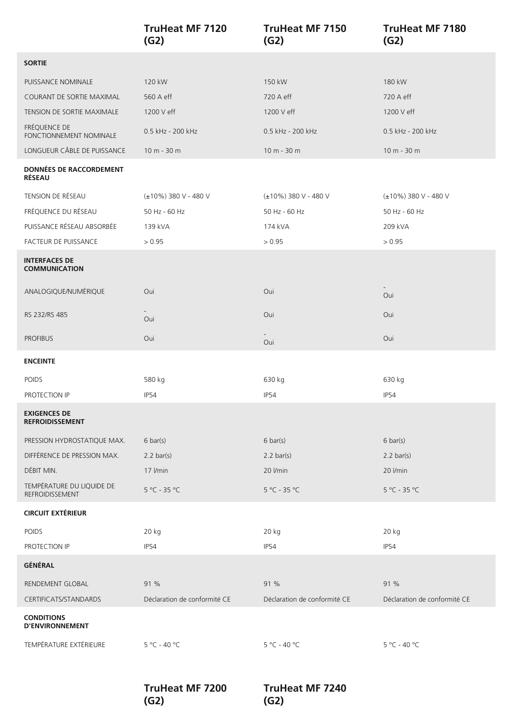|                                                 | <b>TruHeat MF 7120</b><br>(G2) | <b>TruHeat MF 7150</b><br>(G2) | <b>TruHeat MF 7180</b><br>(G2) |
|-------------------------------------------------|--------------------------------|--------------------------------|--------------------------------|
| <b>SORTIE</b>                                   |                                |                                |                                |
| PUISSANCE NOMINALE                              | 120 kW                         | 150 kW                         | 180 kW                         |
| COURANT DE SORTIE MAXIMAL                       | 560 A eff                      | 720 A eff                      | 720 A eff                      |
| TENSION DE SORTIE MAXIMALE                      | 1200 V eff                     | 1200 V eff                     | 1200 V eff                     |
| FRÉQUENCE DE<br>FONCTIONNEMENT NOMINALE         | 0.5 kHz - 200 kHz              | 0.5 kHz - 200 kHz              | 0.5 kHz - 200 kHz              |
| LONGUEUR CÂBLE DE PUISSANCE                     | 10 m - 30 m                    | 10 m - 30 m                    | 10 m - 30 m                    |
| <b>DONNÉES DE RACCORDEMENT</b><br><b>RÉSEAU</b> |                                |                                |                                |
| TENSION DE RÉSEAU                               | (±10%) 380 V - 480 V           | (±10%) 380 V - 480 V           | (±10%) 380 V - 480 V           |
| FRÉQUENCE DU RÉSEAU                             | 50 Hz - 60 Hz                  | 50 Hz - 60 Hz                  | 50 Hz - 60 Hz                  |
| PUISSANCE RÉSEAU ABSORBÉE                       | 139 kVA                        | 174 kVA                        | 209 kVA                        |
| FACTEUR DE PUISSANCE                            | > 0.95                         | > 0.95                         | > 0.95                         |
| <b>INTERFACES DE</b><br><b>COMMUNICATION</b>    |                                |                                |                                |
| ANALOGIQUE/NUMÉRIQUE                            | Oui                            | Oui                            | Oui                            |
| RS 232/RS 485                                   | Oui                            | Oui                            | Oui                            |
| <b>PROFIBUS</b>                                 | Oui                            | Oui                            | Oui                            |
| <b>ENCEINTE</b>                                 |                                |                                |                                |
| POIDS                                           | 580 kg                         | 630 kg                         | 630 kg                         |
| PROTECTION IP                                   | IP54                           | IP54                           | IP54                           |
| <b>EXIGENCES DE</b><br><b>REFROIDISSEMENT</b>   |                                |                                |                                |
| PRESSION HYDROSTATIQUE MAX.                     | $6 \text{ bar}(s)$             | $6 \text{ bar}(s)$             | $6 \text{ bar}(s)$             |
| DIFFÉRENCE DE PRESSION MAX.                     | $2.2 \text{ bar(s)}$           | $2.2 \text{ bar(s)}$           | $2.2 \text{ bar(s)}$           |
| DÉBIT MIN.                                      | 17 I/min                       | 20 I/min                       | 20 I/min                       |
| TEMPÉRATURE DU LIQUIDE DE<br>REFROIDISSEMENT    | $5^{\circ}$ C - 35 °C          | $5^{\circ}$ C - 35 °C          | $5 °C - 35 °C$                 |
| <b>CIRCUIT EXTÉRIEUR</b>                        |                                |                                |                                |
| POIDS                                           | 20 kg                          | 20 kg                          | 20 kg                          |
| PROTECTION IP                                   | IP54                           | IP54                           | IP54                           |
| GÉNÉRAL                                         |                                |                                |                                |
| RENDEMENT GLOBAL                                | 91 %                           | 91 %                           | 91 %                           |
| CERTIFICATS/STANDARDS                           | Déclaration de conformité CE   | Déclaration de conformité CE   | Déclaration de conformité CE   |
| <b>CONDITIONS</b><br><b>D'ENVIRONNEMENT</b>     |                                |                                |                                |
| TEMPÉRATURE EXTÉRIEURE                          | $5 °C - 40 °C$                 | $5 °C - 40 °C$                 | 5 °C - 40 °C                   |

**TruHeat MF 7200 (G2)**

**TruHeat MF 7240 (G2)**